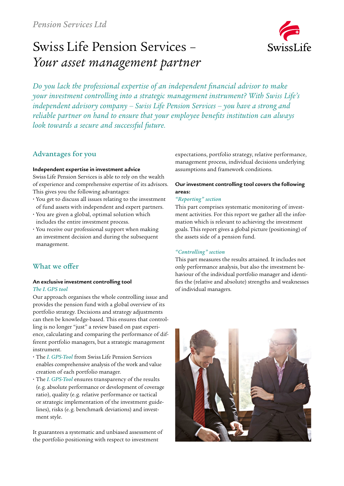# Swiss Life Pension Services – *Your asset management partner*



*Do you lack the professional expertise of an independent financial advisor to make your investment controlling into a strategic management instrument? With Swiss Life's independent advisory company – Swiss Life Pension Services – you have a strong and reliable partner on hand to ensure that your employee benefits institution can always look towards a secure and successful future.*

# Advantages for you

#### **Independent expertise in investment advice**

Swiss Life Pension Services is able to rely on the wealth of experience and comprehensive expertise of its advisors. This gives you the following advantages:

- **ɬ** You get to discuss all issues relating to the investment of fund assets with independent and expert partners.
- **ɬ** You are given a global, optimal solution which includes the entire investment process.
- **ɬ** You receive our professional support when making an investment decision and during the subsequent management.

# What we offer

## **An exclusive investment controlling tool**  *The I. GPS tool*

Our approach organises the whole controlling issue and provides the pension fund with a global overview of its portfolio strategy. Decisions and strategy adjustments can then be knowledge-based. This ensures that controlling is no longer "just" a review based on past experience, calculating and comparing the performance of different portfolio managers, but a strategic management instrument.

- **ɬ** The *I. GPS-Tool* from Swiss Life Pension Services enables comprehensive analysis of the work and value creation of each portfolio manager.
- **ɬ** The *I. GPS-Tool* ensures transparency of the results (e. g. absolute performance or development of coverage ratio), quality (e. g. relative performance or tactical or strategic implementation of the investment guidelines), risks (e. g. benchmark deviations) and investment style.

It guarantees a systematic and unbiased assessment of the portfolio positioning with respect to investment

expectations, portfolio strategy, relative performance, management process, individual decisions underlying assumptions and framework conditions.

# **Our investment controlling tool covers the following areas:**

## *"Reporting" section*

This part comprises systematic monitoring of investment activities. For this report we gather all the information which is relevant to achieving the investment goals. This report gives a global picture (positioning) of the assets side of a pension fund.

# *"Controlling" section*

This part measures the results attained. It includes not only performance analysis, but also the investment behaviour of the individual portfolio manager and identifies the (relative and absolute) strengths and weaknesses of individual managers.